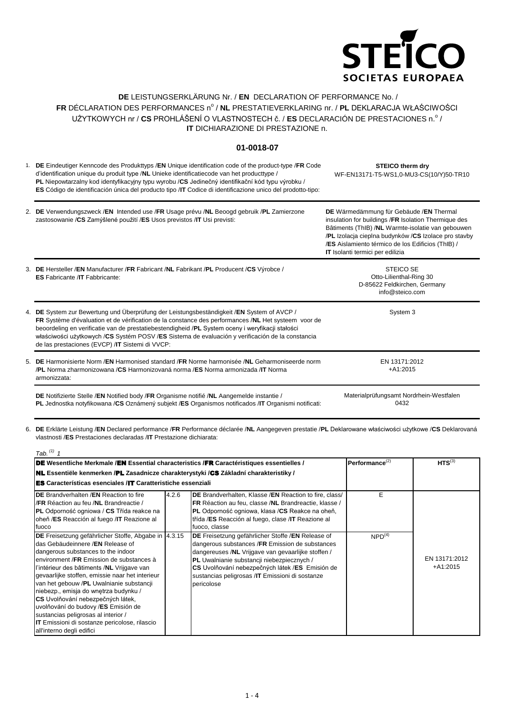

## **DE** LEISTUNGSERKLÄRUNG Nr. / **EN** DECLARATION OF PERFORMANCE No. / FR DÉCLARATION DES PERFORMANCES nº / **NL** PRESTATIEVERKLARING nr. / **PL** DEKLARACJA WŁAŚCIWOŚCI UŻYTKOWYCH nr / CS PROHLÁŠENÍ O VLASTNOSTECH č. / ES DECLARACIÓN DE PRESTACIONES n.º / **IT** DICHIARAZIONE DI PRESTAZIONE n.

## **01-0018-07**

1. **DE** Eindeutiger Kenncode des Produkttyps /**EN** Unique identification code of the product-type /**FR** Code d'identification unique du produit type /**NL** Unieke identificatiecode van het producttype / **PL** Niepowtarzalny kod identyfikacyjny typu wyrobu /**CS** Jedinečný identifikační kód typu výrobku / **ES** Código de identificación única del producto tipo /**IT** Codice di identificazione unico del prodotto-tipo: **STEICO therm dry** WF-EN13171-T5-WS1,0-MU3-CS(10/Y)50-TR10

| 2. DE Verwendungszweck /EN Intended use /FR Usage prévu /NL Beoogd gebruik /PL Zamierzone | DE Wärmedämmung für Gebäude /EN Thermal              |
|-------------------------------------------------------------------------------------------|------------------------------------------------------|
| zastosowanie / CS Zamýšlené použití / ES Usos previstos / IT Usi previsti:                | insulation for buildings /FR Isolation Thermique des |
|                                                                                           | Bâtiments (ThIB) / NL Warmte-isolatie van gebouwen   |

3. **DE** Hersteller /**EN** Manufacturer /**FR** Fabricant /**NL** Fabrikant /**PL** Producent /**CS** Výrobce / 4. **DE** System zur Bewertung und Überprüfung der Leistungsbeständigkeit /**EN** System of AVCP / 5. **DE** Harmonisierte Norm /**EN** Harmonised standard /**FR** Norme harmonisée /**NL** Geharmoniseerde norm **DE** Notifizierte Stelle /**EN** Notified body /**FR** Organisme notifié /**NL** Aangemelde instantie / Materialprüfungsamt Nordrhein-Westfalen **ES** Fabricante /**IT** Fabbricante: STEICO SE Otto-Lilienthal-Ring 30 D-85622 Feldkirchen, Germany info@steico.com **FR** Système d'évaluation et de vérification de la constance des performances /**NL** Het systeem voor de beoordeling en verificatie van de prestatiebestendigheid /**PL** System oceny i weryfikacji stałości właściwości użytkowych /**CS** Systém POSV /**ES** Sistema de evaluación y verificación de la constancia de las prestaciones (EVCP) /**IT** Sistemi di VVCP: System 3 /**PL** Norma zharmonizowana /**CS** Harmonizovaná norma /**ES** Norma armonizada /**IT** Norma armonizzata: EN 13171:2012 +A1:2015 **IT** Isolanti termici per edilizia

**PL** Jednostka notyfikowana /**CS** Oznámený subjekt /**ES** Organismos notificados /**IT** Organismi notificati:

0432

/**PL** Izolacja cieplna budynków /**CS** Izolace pro stavby /**ES** Aislamiento térmico de los Edificios (ThIB) /

6. **DE** Erklärte Leistung /**EN** Declared performance /**FR** Performance déclarée /**NL** Aangegeven prestatie /**PL** Deklarowane właściwości użytkowe /**CS** Deklarovaná vlastnosti /**ES** Prestaciones declaradas /**IT** Prestazione dichiarata:

| Tab. $(1)$ 1                                                                                                                                                                                                                                                                                                                                                                                                                                                                                                                                                              |                      |                                                                                                                                                                                                                                                                                                                              |                    |                             |
|---------------------------------------------------------------------------------------------------------------------------------------------------------------------------------------------------------------------------------------------------------------------------------------------------------------------------------------------------------------------------------------------------------------------------------------------------------------------------------------------------------------------------------------------------------------------------|----------------------|------------------------------------------------------------------------------------------------------------------------------------------------------------------------------------------------------------------------------------------------------------------------------------------------------------------------------|--------------------|-----------------------------|
| DE Wesentliche Merkmale /EN Essential characteristics /FR Caractéristiques essentielles /                                                                                                                                                                                                                                                                                                                                                                                                                                                                                 | Performance $^{(2)}$ | $HTS^{(3)}$                                                                                                                                                                                                                                                                                                                  |                    |                             |
| <b>NL</b> Essentiële kenmerken /PL Zasadnicze charakterystyki /CS Základní charakteristiky /                                                                                                                                                                                                                                                                                                                                                                                                                                                                              |                      |                                                                                                                                                                                                                                                                                                                              |                    |                             |
| <b>ES</b> Características esenciales /IT Caratteristiche essenziali                                                                                                                                                                                                                                                                                                                                                                                                                                                                                                       |                      |                                                                                                                                                                                                                                                                                                                              |                    |                             |
| <b>IDE</b> Brandverhalten /EN Reaction to fire<br>I/FR Réaction au feu /NL Brandreactie /<br><b>PL</b> Odporność ogniowa / CS Třída reakce na<br>oheň /ES Reacción al fuego /IT Reazione al<br>fuoco                                                                                                                                                                                                                                                                                                                                                                      | 4.2.6                | DE Brandverhalten, Klasse / EN Reaction to fire, class/<br>FR Réaction au feu, classe /NL Brandreactie, klasse /<br>PL Odporność ogniowa, klasa /CS Reakce na oheň,<br>třída /ES Reacción al fuego, clase /IT Reazione al<br>fuoco, classe                                                                                   | Е                  |                             |
| DE Freisetzung gefährlicher Stoffe, Abgabe in  4.3.15<br>das Gebäudeinnere /EN Release of<br>dangerous substances to the indoor<br>environment /FR Emission de substances à<br>l'intérieur des bâtiments /NL Vrijgave van<br>gevaarlijke stoffen, emissie naar het interieur<br>van het gebouw /PL Uwalnianie substancji<br>niebezp., emisja do wnętrza budynku /<br>CS Uvolňování nebezpečných látek,<br>uvolňování do budovy /ES Emisión de<br>sustancias peligrosas al interior /<br><b>IT</b> Emissioni di sostanze pericolose, rilascio<br>all'interno degli edifici |                      | DE Freisetzung gefährlicher Stoffe /EN Release of<br>dangerous substances /FR Emission de substances<br>dangereuses /NL Vrijgave van gevaarlijke stoffen /<br>PL Uwalnianie substancji niebezpiecznych /<br>CS Uvolňování nebezpečných látek /ES Emisión de<br>sustancias peligrosas /IT Emissioni di sostanze<br>pericolose | NPD <sup>(4)</sup> | EN 13171:2012<br>$+A1:2015$ |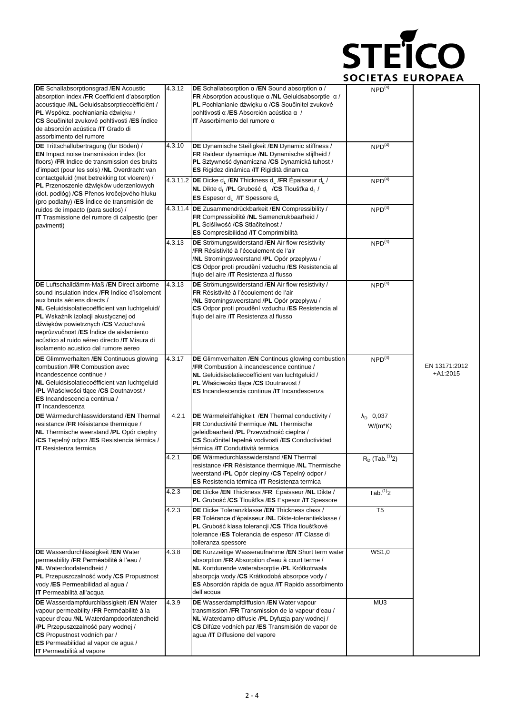

| DE Schallabsorptionsgrad / EN Acoustic<br>absorption index /FR Coefficient d'absorption<br>acoustique /NL Geluidsabsorptiecoëfficiënt /<br>PL Współcz. pochłaniania dźwięku /<br>CS Součinitel zvukové pohltivosti /ES Indice<br>de absorción acústica /IT Grado di<br>assorbimento del rumore                                                                                                 | 4.3.12 | <b>DE</b> Schallabsorption $\alpha$ / <b>EN</b> Sound absorption $\alpha$ /<br>FR Absorption acoustique $\alpha$ /NL Geluidsabsorptie $\alpha$ /<br>PL Pochłanianie dźwięku a /CS Součinitel zvukové<br>pohltivosti α /ES Absorción acústica α /<br><b>IT</b> Assorbimento del rumore $\alpha$ | NPD <sup>(4)</sup>                      |                             |
|------------------------------------------------------------------------------------------------------------------------------------------------------------------------------------------------------------------------------------------------------------------------------------------------------------------------------------------------------------------------------------------------|--------|------------------------------------------------------------------------------------------------------------------------------------------------------------------------------------------------------------------------------------------------------------------------------------------------|-----------------------------------------|-----------------------------|
| DE Trittschallübertragung (für Böden) /<br><b>EN</b> Impact noise transmission index (for<br>floors) / FR Indice de transmission des bruits<br>d'impact (pour les sols) /NL Overdracht van                                                                                                                                                                                                     | 4.3.10 | DE Dynamische Steifigkeit /EN Dynamic stiffness /<br>FR Raideur dynamique /NL Dynamische stijfheid /<br>PL Sztywność dynamiczna /CS Dynamická tuhost /<br>ES Rigidez dinámica / IT Rigidità dinamica                                                                                           | $NPD^{(4)}$                             |                             |
| contactgeluid (met betrekking tot vloeren) /<br>PL Przenoszenie dźwięków uderzeniowych<br>(dot. podłóg) / CS Přenos kročejového hluku<br>(pro podlahy) /ES Índice de transmisión de                                                                                                                                                                                                            |        | 4.3.11.2 DE Dicke d <sub>i</sub> /EN Thickness d <sub>i</sub> /FR Épaisseur d <sub>i</sub> /<br>NL Dikte d <sub>L</sub> /PL Grubość d <sub>L</sub> /CS Tloušťka d <sub>L</sub> /<br>ES Espesor d <sub>1</sub> /IT Spessore d <sub>1</sub>                                                      | NPD <sup>(4)</sup>                      |                             |
| ruidos de impacto (para suelos) /<br>IT Trasmissione del rumore di calpestio (per<br>pavimenti)                                                                                                                                                                                                                                                                                                |        | 4.3.11.4 DE Zusammendrückbarkeit / EN Compressibility /<br>FR Compressibilité /NL Samendrukbaarheid /<br><b>PL</b> Sciśliwość /CS Stlačitelnost /<br><b>ES</b> Compresibilidad / <b>IT</b> Comprimibilità                                                                                      | $NPD^{(4)}$                             |                             |
|                                                                                                                                                                                                                                                                                                                                                                                                | 4.3.13 | DE Strömungswiderstand / EN Air flow resistivity<br>/FR Résistivité à l'écoulement de l'air<br>/NL Stromingsweerstand /PL Opór przepływu /<br>CS Odpor proti proudění vzduchu /ES Resistencia al<br>flujo del aire / IT Resistenza al flusso                                                   | NPD <sup>(4)</sup>                      |                             |
| DE Luftschalldämm-Maß /EN Direct airborne<br>sound insulation index /FR Indice d'isolement<br>aux bruits aériens directs /<br>NL Geluidsisolatiecoëfficient van luchtgeluid/<br>PL Wskaźnik izolacji akustycznej od<br>dźwięków powietrznych /CS Vzduchová<br>neprůzvučnost /ES Índice de aislamiento<br>acústico al ruido aéreo directo /IT Misura di<br>isolamento acustico dal rumore aereo | 4.3.13 | DE Strömungswiderstand /EN Air flow resistivity /<br>FR Résistivité à l'écoulement de l'air<br>/NL Stromingsweerstand /PL Opór przepływu /<br>CS Odpor proti proudění vzduchu /ES Resistencia al<br>flujo del aire / IT Resistenza al flusso                                                   | NPD <sup>(4)</sup>                      |                             |
| DE Glimmverhalten /EN Continuous glowing<br>combustion /FR Combustion avec<br>incandescence continue /<br>NL Geluidsisolatiecoëfficient van luchtgeluid<br>/PL Właściwości tlące /CS Doutnavost /<br>ES Incandescencia continua /<br><b>IT</b> Incandescenza                                                                                                                                   | 4.3.17 | DE Glimmverhalten / EN Continous glowing combustion<br>/FR Combustion à incandescence continue /<br>NL Geluidsisolatiecoëfficient van luchtgeluid /<br>PL Właściwości tlące /CS Doutnavost /<br>ES Incandescencia continua / IT Incandescenza                                                  | NPD <sup>(4)</sup>                      | EN 13171:2012<br>$+A1:2015$ |
| DE Wärmedurchlasswiderstand / EN Thermal<br>resistance / FR Résistance thermique /<br>NL Thermische weerstand /PL Opór cieplny<br>/CS Tepelný odpor /ES Resistencia térmica /<br><b>IT</b> Resistenza termica                                                                                                                                                                                  | 4.2.1  | DE Wärmeleitfähigkeit /EN Thermal conductivity /<br>FR Conductivité thermique /NL Thermische<br>geleidbaarheid /PL Przewodność cieplna /<br>CS Součinitel tepelné vodivosti /ES Conductividad<br>térmica /IT Conduttività termica                                                              | $\lambda_{\text{D}}$ 0,037<br>$W/(m*K)$ |                             |
|                                                                                                                                                                                                                                                                                                                                                                                                | 4.2.1  | <b>DE</b> Wärmedurchlasswiderstand / <b>EN</b> Thermal<br>resistance /FR Résistance thermique /NL Thermische<br>weerstand /PL Opór cieplny /CS Tepelný odpor /<br><b>ES</b> Resistencia térmica / <b>IT</b> Resistenza termica                                                                 | $R_D$ (Tab. $(1)$ <sub>2</sub> )        |                             |
|                                                                                                                                                                                                                                                                                                                                                                                                | 4.2.3  | DE Dicke / EN Thickness / FR Épaisseur / NL Dikte /<br>PL Grubość /CS Tloušťka /ES Espesor /IT Spessore                                                                                                                                                                                        | $Tab.$ <sup>(1)</sup> 2                 |                             |
|                                                                                                                                                                                                                                                                                                                                                                                                | 4.2.3  | DE Dicke Toleranzklasse / EN Thickness class /<br>FR Tolérance d'épaisseur /NL Dikte-tolerantieklasse /<br>PL Grubość klasa tolerancji / CS Třída tloušťkové<br>tolerance /ES Tolerancia de espesor /IT Classe di<br>tolleranza spessore                                                       | T <sub>5</sub>                          |                             |
| DE Wasserdurchlässigkeit /EN Water<br>permeability /FR Perméabilité à l'eau /<br>NL Waterdoorlatendheid /<br>PL Przepuszczalność wody /CS Propustnost<br>vody /ES Permeabilidad al agua /<br>IT Permeabilità all'acqua                                                                                                                                                                         | 4.3.8  | DE Kurzzeitige Wasseraufnahme / EN Short term water<br>absorption /FR Absorption d'eau à court terme /<br>NL Kortdurende waterabsorptie /PL Krótkotrwała<br>absorpcja wody /CS Krátkodobá absorpce vody /<br>ES Absorción rápida de agua /IT Rapido assorbimento<br>dell'acqua                 | WS1,0                                   |                             |
| DE Wasserdampfdurchlässigkeit /EN Water<br>vapour permeability /FR Perméabilité à la<br>vapeur d'eau /NL Waterdampdoorlatendheid<br>/PL Przepuszczalność pary wodnej /<br>CS Propustnost vodních par /<br>ES Permeabilidad al vapor de agua /<br><b>IT</b> Permeabilità al vapore                                                                                                              | 4.3.9  | DE Wasserdampfdiffusion /EN Water vapour<br>transmission / FR Transmission de la vapeur d'eau /<br>NL Waterdamp diffusie /PL Dyfuzja pary wodnej /<br>CS Difúze vodních par /ES Transmisión de vapor de<br>agua /IT Diffusione del vapore                                                      | MU3                                     |                             |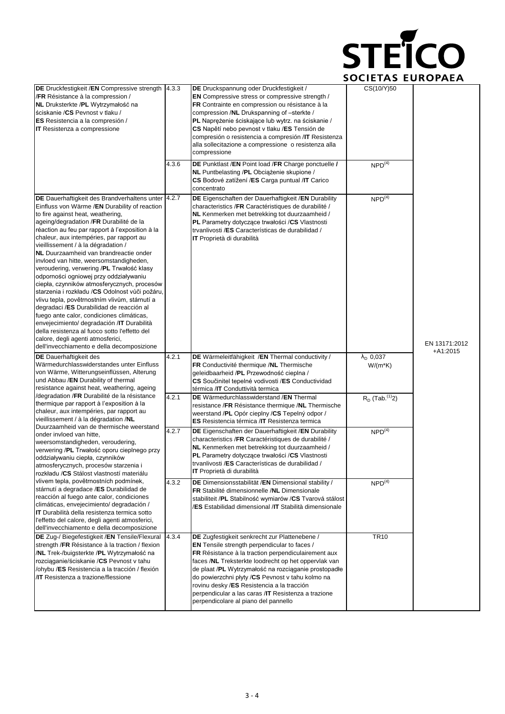

| DE Druckfestigkeit /EN Compressive strength<br>/FR Résistance à la compression /<br>NL Druksterkte /PL Wytrzymałość na<br>ściskanie / CS Pevnost v tlaku /<br>ES Resistencia a la compresión /<br><b>IT</b> Resistenza a compressione                                                                                                                                                                                                                                                                                                                                                                                                                                                                                                                                                                                                                                                                                                     | 4.3.3 | DE Druckspannung oder Druckfestigkeit /<br><b>EN</b> Compressive stress or compressive strength /<br>FR Contrainte en compression ou résistance à la<br>compression /NL Drukspanning of -sterkte /<br>PL Naprężenie ściskające lub wytrz. na ściskanie /<br>CS Napětí nebo pevnost v tlaku /ES Tensión de<br>compresión o resistencia a compresión / IT Resistenza<br>alla sollecitazione a compressione o resistenza alla<br>compressione                                   | CS(10/Y)50                              |                             |  |  |
|-------------------------------------------------------------------------------------------------------------------------------------------------------------------------------------------------------------------------------------------------------------------------------------------------------------------------------------------------------------------------------------------------------------------------------------------------------------------------------------------------------------------------------------------------------------------------------------------------------------------------------------------------------------------------------------------------------------------------------------------------------------------------------------------------------------------------------------------------------------------------------------------------------------------------------------------|-------|------------------------------------------------------------------------------------------------------------------------------------------------------------------------------------------------------------------------------------------------------------------------------------------------------------------------------------------------------------------------------------------------------------------------------------------------------------------------------|-----------------------------------------|-----------------------------|--|--|
|                                                                                                                                                                                                                                                                                                                                                                                                                                                                                                                                                                                                                                                                                                                                                                                                                                                                                                                                           | 4.3.6 | DE Punktlast /EN Point load /FR Charge ponctuelle /<br>NL Puntbelasting /PL Obciążenie skupione /<br>CS Bodové zatížení /ES Carga puntual /IT Carico<br>concentrato                                                                                                                                                                                                                                                                                                          | NPD <sup>(4)</sup>                      |                             |  |  |
| DE Dauerhaftigkeit des Brandverhaltens unter 4.2.7<br>Einfluss von Wärme /EN Durability of reaction<br>to fire against heat, weathering,<br>ageing/degradation /FR Durabilité de la<br>réaction au feu par rapport à l'exposition à la<br>chaleur, aux intempéries, par rapport au<br>vieillissement / à la dégradation /<br><b>NL</b> Duurzaamheid van brandreactie onder<br>invloed van hitte, weersomstandigheden,<br>veroudering, verwering /PL Trwałość klasy<br>odporności ogniowej przy oddziaływaniu<br>ciepła, czynników atmosferycznych, procesów<br>starzenia i rozkładu /CS Odolnost vůči požáru,<br>vlivu tepla, povětrnostním vlivům, stárnutí a<br>degradaci /ES Durabilidad de reacción al<br>fuego ante calor, condiciones climáticas,<br>envejecimiento/ degradación /IT Durabilità<br>della resistenza al fuoco sotto l'effetto del<br>calore, degli agenti atmosferici,<br>dell'invecchiamento e della decomposizione |       | DE Eigenschaften der Dauerhaftigkeit / EN Durability<br>characteristics /FR Caractéristiques de durabilité /<br>NL Kenmerken met betrekking tot duurzaamheid /<br><b>PL</b> Parametry dotyczące trwałości /CS Vlastnosti<br>trvanlivosti /ES Características de durabilidad /<br>IT Proprietà di durabilità                                                                                                                                                                  | $NPD^{(4)}$                             | EN 13171:2012<br>$+A1:2015$ |  |  |
| <b>DE</b> Dauerhaftigkeit des<br>Wärmedurchlasswiderstandes unter Einfluss<br>von Wärme, Witterungseinflüssen, Alterung<br>und Abbau /EN Durability of thermal<br>resistance against heat, weathering, ageing                                                                                                                                                                                                                                                                                                                                                                                                                                                                                                                                                                                                                                                                                                                             | 4.2.1 | DE Wärmeleitfähigkeit /EN Thermal conductivity /<br>FR Conductivité thermique /NL Thermische<br>geleidbaarheid /PL Przewodność cieplna /<br>CS Součinitel tepelné vodivosti /ES Conductividad<br>térmica /IT Conduttività termica                                                                                                                                                                                                                                            | $\lambda_{\text{D}}$ 0,037<br>$W/(m*K)$ |                             |  |  |
| /degradation /FR Durabilité de la résistance<br>thermique par rapport à l'exposition à la<br>chaleur, aux intempéries, par rapport au<br>vieillissement / à la dégradation /NL<br>Duurzaamheid van de thermische weerstand                                                                                                                                                                                                                                                                                                                                                                                                                                                                                                                                                                                                                                                                                                                | 4.2.1 | DE Wärmedurchlasswiderstand / EN Thermal<br>resistance /FR Résistance thermique /NL Thermische<br>weerstand /PL Opór cieplny /CS Tepelný odpor /<br>ES Resistencia térmica / IT Resistenza termica                                                                                                                                                                                                                                                                           | $R_D$ (Tab. <sup>(1)</sup> 2)           |                             |  |  |
| onder invloed van hitte.<br>weersomstandigheden, veroudering,<br>verwering /PL Trwałość oporu cieplnego przy<br>oddziaływaniu ciepła, czynników<br>atmosferycznych, procesów starzenia i<br>rozkładu /CS Stálost vlastností materiálu                                                                                                                                                                                                                                                                                                                                                                                                                                                                                                                                                                                                                                                                                                     | 4.2.7 | DE Eigenschaften der Dauerhaftigkeit / EN Durability<br>characteristics /FR Caractéristiques de durabilité /<br>NL Kenmerken met betrekking tot duurzaamheid /<br>PL Parametry dotyczące trwałości /CS Vlastnosti<br>trvanlivosti /ES Características de durabilidad /<br><b>IT</b> Proprietà di durabilità                                                                                                                                                                  | NPD <sup>(4)</sup>                      |                             |  |  |
| vlivem tepla, povětrnostních podmínek,<br>stárnutí a degradace /ES Durabilidad de<br>reacción al fuego ante calor, condiciones<br>climáticas, envejecimiento/ degradación /<br><b>IT</b> Durabilità della resistenza termica sotto<br>l'effetto del calore, degli agenti atmosferici,<br>dell'invecchiamento e della decomposizione                                                                                                                                                                                                                                                                                                                                                                                                                                                                                                                                                                                                       | 4.3.2 | DE Dimensionsstabilität / EN Dimensional stability /<br>FR Stabilité dimensionnelle /NL Dimensionale<br>stabiliteit /PL Stabilność wymiarów /CS Tvarová stálost<br>/ES Estabilidad dimensional /IT Stabilità dimensionale                                                                                                                                                                                                                                                    | NPD <sup>(4)</sup>                      |                             |  |  |
| DE Zug-/ Biegefestigkeit / EN Tensile/Flexural<br>strength / FR Résistance à la traction / flexion<br>/NL Trek-/buigsterkte /PL Wytrzymałość na<br>rozciąganie/ściskanie /CS Pevnost v tahu<br>/ohybu /ES Resistencia a la tracción / flexión<br><b>IT</b> Resistenza a trazione/flessione                                                                                                                                                                                                                                                                                                                                                                                                                                                                                                                                                                                                                                                | 4.3.4 | DE Zugfestigkeit senkrecht zur Plattenebene /<br><b>EN</b> Tensile strength perpendicular to faces /<br>FR Résistance à la traction perpendiculairement aux<br>faces /NL Treksterkte loodrecht op het oppervlak van<br>de plaat /PL Wytrzymałość na rozciąganie prostopadłe<br>do powierzchni płyty /CS Pevnost v tahu kolmo na<br>rovinu desky /ES Resistencia a la tracción<br>perpendicular a las caras /IT Resistenza a trazione<br>perpendicolare al piano del pannello | <b>TR10</b>                             |                             |  |  |